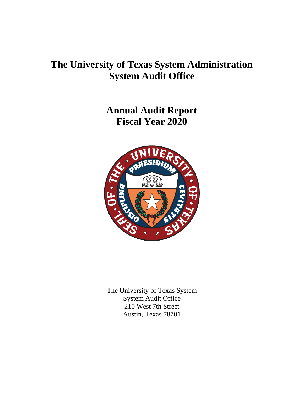## **The University of Texas System Administration System Audit Office**

**Annual Audit Report Fiscal Year 2020**



The University of Texas System System Audit Office 210 West 7th Street Austin, Texas 78701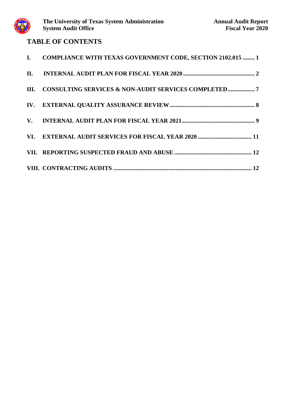

# System Audit Office<br> **TABLE OF CONTENTS**

| I. COMPLIANCE WITH TEXAS GOVERNMENT CODE, SECTION 2102.015  1 |
|---------------------------------------------------------------|
|                                                               |
|                                                               |
|                                                               |
|                                                               |
|                                                               |
|                                                               |
|                                                               |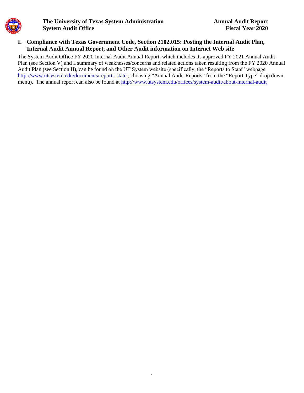#### **I. Compliance with Texas Government Code, Section 2102.015: Posting the Internal Audit Plan, Internal Audit Annual Report, and Other Audit information on Internet Web site**

The System Audit Office FY 2020 Internal Audit Annual Report, which includes its approved FY 2021 Annual Audit Plan (see Section V) and a summary of weaknesses/concerns and related actions taken resulting from the FY 2020 Annual Audit Plan (see Section II), can be found on the UT System website (specifically, the "Reports to State" webpage <http://www.utsystem.edu/documents/reports-state> , choosing "Annual Audit Reports" from the "Report Type" drop down menu). The annual report can also be found at<http://www.utsystem.edu/offices/system-audit/about-internal-audit>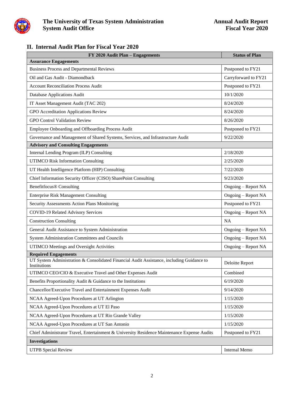

### **II. Internal Audit Plan for Fiscal Year 2020**

| FY 2020 Audit Plan - Engagements                                                                          | <b>Status of Plan</b> |
|-----------------------------------------------------------------------------------------------------------|-----------------------|
| <b>Assurance Engagements</b>                                                                              |                       |
| <b>Business Process and Departmental Reviews</b>                                                          | Postponed to FY21     |
| Oil and Gas Audit - Diamondback                                                                           | Carryforward to FY21  |
| <b>Account Reconciliation Process Audit</b>                                                               | Postponed to FY21     |
| Database Applications Audit                                                                               | 10/1/2020             |
| IT Asset Management Audit (TAC 202)                                                                       | 8/24/2020             |
| GPO Accreditation Applications Review                                                                     | 8/24/2020             |
| <b>GPO Control Validation Review</b>                                                                      | 8/26/2020             |
| Employee Onboarding and Offboarding Process Audit                                                         | Postponed to FY21     |
| Governance and Management of Shared Systems, Services, and Infrastructure Audit                           | 9/22/2020             |
| <b>Advisory and Consulting Engagements</b>                                                                |                       |
| Internal Lending Program (ILP) Consulting                                                                 | 2/18/2020             |
| <b>UTIMCO Risk Information Consulting</b>                                                                 | 2/25/2020             |
| UT Health Intelligence Platform (HIP) Consulting                                                          | 7/22/2020             |
| Chief Information Security Officer (CISO) SharePoint Consulting                                           | 9/23/2020             |
| <b>Benefitfocus® Consulting</b>                                                                           | Ongoing – Report NA   |
| <b>Enterprise Risk Management Consulting</b>                                                              | Ongoing - Report NA   |
| Security Assessments Action Plans Monitoring                                                              | Postponed to FY21     |
| COVID-19 Related Advisory Services                                                                        | Ongoing - Report NA   |
| <b>Construction Consulting</b>                                                                            | <b>NA</b>             |
| General Audit Assistance to System Administration                                                         | Ongoing - Report NA   |
| System Administration Committees and Councils                                                             | Ongoing - Report NA   |
| UTIMCO Meetings and Oversight Activities                                                                  | Ongoing - Report NA   |
| <b>Required Engagements</b>                                                                               |                       |
| UT System Administration & Consolidated Financial Audit Assistance, including Guidance to<br>Institutions | Deloitte Report       |
| UTIMCO CEO/CIO & Executive Travel and Other Expenses Audit                                                | Combined              |
| Benefits Proportionality Audit & Guidance to the Institutions                                             | 6/19/2020             |
| Chancellor/Executive Travel and Entertainment Expenses Audit                                              | 9/14/2020             |
| NCAA Agreed-Upon Procedures at UT Arlington                                                               | 1/15/2020             |
| NCAA Agreed-Upon Procedures at UT El Paso                                                                 | 1/15/2020             |
| NCAA Agreed-Upon Procedures at UT Rio Grande Valley                                                       | 1/15/2020             |
| NCAA Agreed-Upon Procedures at UT San Antonio                                                             | 1/15/2020             |
| Chief Administrator Travel, Entertainment & University Residence Maintenance Expense Audits               | Postponed to FY21     |
| <b>Investigations</b>                                                                                     |                       |
| <b>UTPB</b> Special Review                                                                                | <b>Internal Memo</b>  |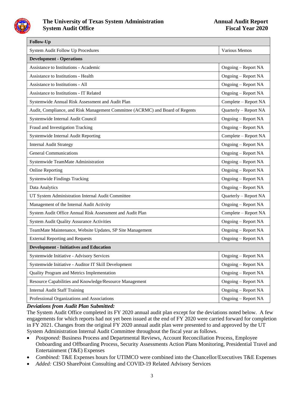

| Follow-Up                                                                     |                       |  |  |  |  |  |
|-------------------------------------------------------------------------------|-----------------------|--|--|--|--|--|
| System Audit Follow Up Procedures                                             | Various Memos         |  |  |  |  |  |
| <b>Development - Operations</b>                                               |                       |  |  |  |  |  |
| Assistance to Institutions - Academic                                         | Ongoing – Report NA   |  |  |  |  |  |
| <b>Assistance to Institutions - Health</b>                                    | Ongoing - Report NA   |  |  |  |  |  |
| <b>Assistance to Institutions - All</b>                                       | Ongoing – Report NA   |  |  |  |  |  |
| <b>Assistance to Institutions - IT Related</b>                                | Ongoing - Report NA   |  |  |  |  |  |
| Systemwide Annual Risk Assessment and Audit Plan                              | Complete – Report NA  |  |  |  |  |  |
| Audit, Compliance, and Risk Management Committee (ACRMC) and Board of Regents | Quarterly - Report NA |  |  |  |  |  |
| Systemwide Internal Audit Council                                             | Ongoing - Report NA   |  |  |  |  |  |
| Fraud and Investigation Tracking                                              | Ongoing - Report NA   |  |  |  |  |  |
| Systemwide Internal Audit Reporting                                           | Complete - Report NA  |  |  |  |  |  |
| <b>Internal Audit Strategy</b>                                                | Ongoing – Report NA   |  |  |  |  |  |
| <b>General Communications</b>                                                 | Ongoing - Report NA   |  |  |  |  |  |
| Systemwide TeamMate Administration                                            | Ongoing - Report NA   |  |  |  |  |  |
| <b>Online Reporting</b>                                                       | Ongoing - Report NA   |  |  |  |  |  |
| <b>Systemwide Findings Tracking</b>                                           | Ongoing - Report NA   |  |  |  |  |  |
| Data Analytics                                                                | Ongoing - Report NA   |  |  |  |  |  |
| UT System Administration Internal Audit Committee                             | Quarterly - Report NA |  |  |  |  |  |
| Management of the Internal Audit Activity                                     | Ongoing - Report NA   |  |  |  |  |  |
| System Audit Office Annual Risk Assessment and Audit Plan                     | Complete - Report NA  |  |  |  |  |  |
| <b>System Audit Quality Assurance Activities</b>                              | Ongoing – Report NA   |  |  |  |  |  |
| TeamMate Maintenance, Website Updates, SP Site Management                     | Ongoing - Report NA   |  |  |  |  |  |
| <b>External Reporting and Requests</b>                                        | Ongoing - Report NA   |  |  |  |  |  |
| <b>Development - Initiatives and Education</b>                                |                       |  |  |  |  |  |
| Systemwide Initiative - Advisory Services                                     | Ongoing - Report NA   |  |  |  |  |  |
| Systemwide Initiative - Auditor IT Skill Development                          | Ongoing - Report NA   |  |  |  |  |  |
| Quality Program and Metrics Implementation                                    | Ongoing - Report NA   |  |  |  |  |  |
| Resource Capabilities and Knowledge/Resource Management                       | Ongoing – Report NA   |  |  |  |  |  |
| <b>Internal Audit Staff Training</b>                                          | Ongoing – Report NA   |  |  |  |  |  |
| Professional Organizations and Associations                                   | Ongoing - Report NA   |  |  |  |  |  |

#### *Deviations from Audit Plan Submitted:*

The System Audit Office completed its FY 2020 annual audit plan except for the deviations noted below. A few engagements for which reports had not yet been issued at the end of FY 2020 were carried forward for completion in FY 2021. Changes from the original FY 2020 annual audit plan were presented to and approved by the UT System Administration Internal Audit Committee throughout the fiscal year as follows.

- *Postponed:* Business Process and Departmental Reviews, Account Reconciliation Process, Employee Onboarding and Offboarding Process, Security Assessments Action Plans Monitoring, Presidential Travel and Entertainment (T&E) Expenses
- *Combined:* T&E Expenses hours for UTIMCO were combined into the Chancellor/Executives T&E Expenses
- *Added:* CISO SharePoint Consulting and COVID-19 Related Advisory Services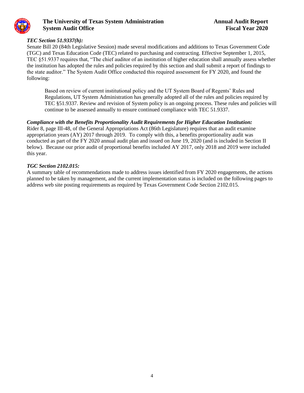

#### *TEC Section 51.9337(h):*

Senate Bill 20 (84th Legislative Session) made several modifications and additions to Texas Government Code (TGC) and Texas Education Code (TEC) related to purchasing and contracting. Effective September 1, 2015, TEC §51.9337 requires that, "The chief auditor of an institution of higher education shall annually assess whether the institution has adopted the rules and policies required by this section and shall submit a report of findings to the state auditor." The System Audit Office conducted this required assessment for FY 2020, and found the following:

Based on review of current institutional policy and the UT System Board of Regents' Rules and Regulations, UT System Administration has generally adopted all of the rules and policies required by TEC §51.9337. Review and revision of System policy is an ongoing process. These rules and policies will continue to be assessed annually to ensure continued compliance with TEC 51.9337.

#### *Compliance with the Benefits Proportionality Audit Requirements for Higher Education Institution:*

Rider 8, page III-48, of the General Appropriations Act (86th Legislature) requires that an audit examine appropriation years (AY) 2017 through 2019. To comply with this, a benefits proportionality audit was conducted as part of the FY 2020 annual audit plan and issued on June 19, 2020 (and is included in Section II below). Because our prior audit of proportional benefits included AY 2017, only 2018 and 2019 were included this year.

#### *TGC Section 2102.015:*

A summary table of recommendations made to address issues identified from FY 2020 engagements, the actions planned to be taken by management, and the current implementation status is included on the following pages to address web site posting requirements as required by Texas Government Code Section 2102.015.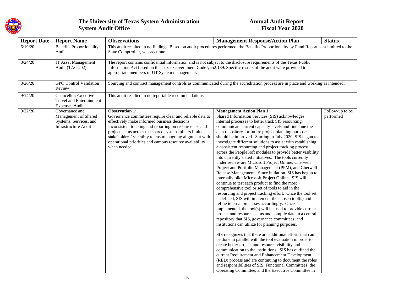

| <b>Report Date</b> | <b>Report Name</b>                                                                              | <b>Observations</b>                                                                                                                                                                                                                                                                                                                                                                              | <b>Management Response/Action Plan</b>                                                                                                                                                                                                                                                                                                                                                                                                                                                                                                                                                                                                                                                                                                                                                                                                                                                                                                                                                                                                                                                                                                                                                                                                                                                                                                                                                                                                                                                                                                                                                                                                                                                                                                                                                | <b>Status</b>                |  |  |
|--------------------|-------------------------------------------------------------------------------------------------|--------------------------------------------------------------------------------------------------------------------------------------------------------------------------------------------------------------------------------------------------------------------------------------------------------------------------------------------------------------------------------------------------|---------------------------------------------------------------------------------------------------------------------------------------------------------------------------------------------------------------------------------------------------------------------------------------------------------------------------------------------------------------------------------------------------------------------------------------------------------------------------------------------------------------------------------------------------------------------------------------------------------------------------------------------------------------------------------------------------------------------------------------------------------------------------------------------------------------------------------------------------------------------------------------------------------------------------------------------------------------------------------------------------------------------------------------------------------------------------------------------------------------------------------------------------------------------------------------------------------------------------------------------------------------------------------------------------------------------------------------------------------------------------------------------------------------------------------------------------------------------------------------------------------------------------------------------------------------------------------------------------------------------------------------------------------------------------------------------------------------------------------------------------------------------------------------|------------------------------|--|--|
| 6/19/20            | <b>Benefits Proportionality</b><br>Audit                                                        | This audit resulted in no findings. Based on audit procedures performed, the Benefits Proportionality by Fund Report as submitted to the<br>State Comptroller, was accurate.                                                                                                                                                                                                                     |                                                                                                                                                                                                                                                                                                                                                                                                                                                                                                                                                                                                                                                                                                                                                                                                                                                                                                                                                                                                                                                                                                                                                                                                                                                                                                                                                                                                                                                                                                                                                                                                                                                                                                                                                                                       |                              |  |  |
| 8/24/20            | IT Asset Management<br>Audit (TAC 202)                                                          | The report contains confidential information and is not subject to the disclosure requirements of the Texas Public<br>Information Act based on the Texas Government Code §552.139. Specific results of the audit were provided to<br>appropriate members of UT System management.                                                                                                                |                                                                                                                                                                                                                                                                                                                                                                                                                                                                                                                                                                                                                                                                                                                                                                                                                                                                                                                                                                                                                                                                                                                                                                                                                                                                                                                                                                                                                                                                                                                                                                                                                                                                                                                                                                                       |                              |  |  |
| 8/26/20            | <b>GPO</b> Control Validation<br>Review                                                         |                                                                                                                                                                                                                                                                                                                                                                                                  | Sourcing and contract management controls as communicated during the accreditation process are in place and working as intended.                                                                                                                                                                                                                                                                                                                                                                                                                                                                                                                                                                                                                                                                                                                                                                                                                                                                                                                                                                                                                                                                                                                                                                                                                                                                                                                                                                                                                                                                                                                                                                                                                                                      |                              |  |  |
| 9/14/20            | Chancellor/Executive<br>Travel and Entertainment<br><b>Expenses Audit</b>                       | This audit resulted in no reportable recommendations.                                                                                                                                                                                                                                                                                                                                            |                                                                                                                                                                                                                                                                                                                                                                                                                                                                                                                                                                                                                                                                                                                                                                                                                                                                                                                                                                                                                                                                                                                                                                                                                                                                                                                                                                                                                                                                                                                                                                                                                                                                                                                                                                                       |                              |  |  |
| 9/22/20            | Governance and<br>Management of Shared<br>Systems, Services, and<br><b>Infrastructure Audit</b> | <b>Observation 1:</b><br>Governance committees require clear and reliable data to<br>effectively make informed business decisions.<br>Inconsistent tracking and reporting on resource use and<br>project status across the shared systems pillars limits<br>stakeholders' visibility to ensure ongoing alignment with<br>operational priorities and campus resource availability<br>when needed. | <b>Management Action Plan 1:</b><br>Shared Information Services (SIS) acknowledges<br>internal processes to better track SIS resourcing,<br>communicate current capacity levels and fine tune the<br>data repository for future project planning purposes<br>should be improved. Starting in July 2020, SIS began to<br>investigate different solutions to assist with establishing<br>a consistent resourcing and project tracking process<br>across the PeopleSoft modules to provide better visibility<br>into currently slated initiatives. The tools currently<br>under review are Microsoft Project Online, Cherwell<br>Project and Portfolio Management (PPM), and Cherwell<br>Release Management. Since initiation, SIS has begun to<br>internally pilot Microsoft Project Online. SIS will<br>continue to test each product to find the most<br>comprehensive tool or set of tools to aid in the<br>resourcing and project tracking effort. Once the tool set<br>is defined, SIS will implement the chosen tool(s) and<br>refine internal processes accordingly. Once<br>implemented, the tool(s) will be used to provide current<br>project and resource status and compile data in a central<br>repository that SIS, governance committees, and<br>institutions can utilize for planning purposes.<br>SIS recognizes that there are additional efforts that can<br>be done in parallel with the tool evaluation in order to<br>create better project and resource visibility and<br>communication to the institutions. SIS has outlined the<br>current Requirement and Enhancement Development<br>(RED) process and are continuing to document the roles<br>and responsibilities of SIS, Functional Committees, the<br>Operating Committee, and the Executive Committee in | Follow-up to be<br>performed |  |  |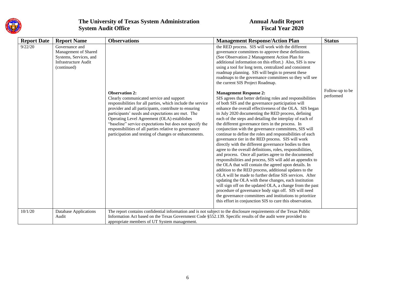

| <b>Report Date</b> | <b>Report Name</b>                                                                                             | <b>Observations</b>                                                                                                                                                                                                                                                                                                                                                                                                                                                          | <b>Management Response/Action Plan</b>                                                                                                                                                                                                                                                                                                                                                                                                                                                                                                                                                                                                                                                                                                                                                                                                                                                                                                                                                                                                                                                                                                                                                                                                                                                      | <b>Status</b>                |
|--------------------|----------------------------------------------------------------------------------------------------------------|------------------------------------------------------------------------------------------------------------------------------------------------------------------------------------------------------------------------------------------------------------------------------------------------------------------------------------------------------------------------------------------------------------------------------------------------------------------------------|---------------------------------------------------------------------------------------------------------------------------------------------------------------------------------------------------------------------------------------------------------------------------------------------------------------------------------------------------------------------------------------------------------------------------------------------------------------------------------------------------------------------------------------------------------------------------------------------------------------------------------------------------------------------------------------------------------------------------------------------------------------------------------------------------------------------------------------------------------------------------------------------------------------------------------------------------------------------------------------------------------------------------------------------------------------------------------------------------------------------------------------------------------------------------------------------------------------------------------------------------------------------------------------------|------------------------------|
| 9/22/20            | Governance and<br>Management of Shared<br>Systems, Services, and<br><b>Infrastructure Audit</b><br>(continued) |                                                                                                                                                                                                                                                                                                                                                                                                                                                                              | the RED process. SIS will work with the different<br>governance committees to approve these definitions.<br>(See Observation 2 Management Action Plan for<br>additional information on this effort.) Also, SIS is now<br>using a tool for long term, centralized and consistent<br>roadmap planning. SIS will begin to present these<br>roadmaps to the governance committees so they will see<br>the current SIS Project Roadmap.                                                                                                                                                                                                                                                                                                                                                                                                                                                                                                                                                                                                                                                                                                                                                                                                                                                          |                              |
|                    |                                                                                                                | <b>Observation 2:</b><br>Clearly communicated service and support<br>responsibilities for all parties, which include the service<br>provider and all participants, contribute to ensuring<br>participants' needs and expectations are met. The<br>Operating Level Agreement (OLA) establishes<br>"baseline" service expectations but does not specify the<br>responsibilities of all parties relative to governance<br>participation and testing of changes or enhancements. | <b>Management Response 2:</b><br>SIS agrees that better defining roles and responsibilities<br>of both SIS and the governance participation will<br>enhance the overall effectiveness of the OLA. SIS began<br>in July 2020 documenting the RED process, defining<br>each of the steps and detailing the interplay of each of<br>the different governance tiers in the process. In<br>conjunction with the governance committees, SIS will<br>continue to define the roles and responsibilities of each<br>governance tier in the RED process. SIS will work<br>directly with the different governance bodies to then<br>agree to the overall definitions, roles, responsibilities,<br>and process. Once all parties agree to the documented<br>responsibilities and process, SIS will add an appendix to<br>the OLA that will contain the agreed upon details. In<br>addition to the RED process, additional updates to the<br>OLA will be made to further define SIS services. After<br>updating the OLA with these changes, each institution<br>will sign off on the updated OLA, a change from the past<br>procedure of governance body sign off. SIS will need<br>the governance committees and institutions to prioritize<br>this effort in conjunction SIS to cure this observation. | Follow-up to be<br>performed |
| 10/1/20            | <b>Database Applications</b><br>Audit                                                                          | The report contains confidential information and is not subject to the disclosure requirements of the Texas Public<br>Information Act based on the Texas Government Code §552.139. Specific results of the audit were provided to<br>appropriate members of UT System management.                                                                                                                                                                                            |                                                                                                                                                                                                                                                                                                                                                                                                                                                                                                                                                                                                                                                                                                                                                                                                                                                                                                                                                                                                                                                                                                                                                                                                                                                                                             |                              |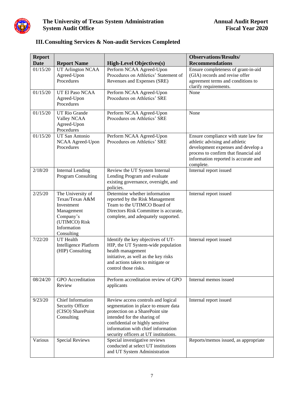

| <b>III. Consulting Services &amp; Non-audit Services Completed</b> |  |  |  |  |
|--------------------------------------------------------------------|--|--|--|--|
|--------------------------------------------------------------------|--|--|--|--|

| <b>Report</b> |                                                                                                                             |                                                                                                                                                                                                                                                                 | <b>Observations/Results/</b>                                                                                                                                                                               |
|---------------|-----------------------------------------------------------------------------------------------------------------------------|-----------------------------------------------------------------------------------------------------------------------------------------------------------------------------------------------------------------------------------------------------------------|------------------------------------------------------------------------------------------------------------------------------------------------------------------------------------------------------------|
| <b>Date</b>   | <b>Report Name</b>                                                                                                          | <b>High-Level Objectives(s)</b>                                                                                                                                                                                                                                 | <b>Recommendations</b>                                                                                                                                                                                     |
| 01/15/20      | <b>UT Arlington NCAA</b><br>Agreed-Upon<br>Procedures                                                                       | Perform NCAA Agreed-Upon<br>Procedures on Athletics' Statement of<br>Revenues and Expenses (SRE)                                                                                                                                                                | Ensure completeness of grant-in-aid<br>(GIA) records and revise offer<br>agreement terms and conditions to<br>clarify requirements.                                                                        |
| 01/15/20      | UT El Paso NCAA<br>Agreed-Upon<br>Procedures                                                                                | Perform NCAA Agreed-Upon<br>Procedures on Athletics' SRE                                                                                                                                                                                                        | None                                                                                                                                                                                                       |
| 01/15/20      | <b>UT Rio Grande</b><br>Valley NCAA<br>Agreed-Upon<br>Procedures                                                            | Perform NCAA Agreed-Upon<br>Procedures on Athletics' SRE                                                                                                                                                                                                        | None                                                                                                                                                                                                       |
| 01/15/20      | <b>UT San Antonio</b><br>NCAA Agreed-Upon<br>Procedures                                                                     | Perform NCAA Agreed-Upon<br>Procedures on Athletics' SRE                                                                                                                                                                                                        | Ensure compliance with state law for<br>athletic advising and athletic<br>development expenses and develop a<br>process to confirm that financial aid<br>information reported is accurate and<br>complete. |
| 2/18/20       | <b>Internal Lending</b><br>Program Consulting                                                                               | Review the UT System Internal<br>Lending Program and evaluate<br>existing governance, oversight, and<br>policies.                                                                                                                                               | Internal report issued                                                                                                                                                                                     |
| 2/25/20       | The University of<br>Texas/Texas A&M<br>Investment<br>Management<br>Company's<br>(UTIMCO) Risk<br>Information<br>Consulting | Determine whether information<br>reported by the Risk Management<br>Team to the UTIMCO Board of<br>Directors Risk Committee is accurate,<br>complete, and adequately supported.                                                                                 | Internal report issued                                                                                                                                                                                     |
| 7/22/20       | <b>UT</b> Health<br><b>Intelligence Platform</b><br>(HIP) Consulting                                                        | Identify the key objectives of UT-<br>HIP, the UT System-wide population<br>health management<br>initiative, as well as the key risks<br>and actions taken to mitigate or<br>control those risks.                                                               | Internal report issued                                                                                                                                                                                     |
| 08/24/20      | <b>GPO</b> Accreditation<br>Review                                                                                          | Perform accreditation review of GPO<br>applicants                                                                                                                                                                                                               | Internal memos issued                                                                                                                                                                                      |
| 9/23/20       | Chief Information<br>Security Officer<br>(CISO) SharePoint<br>Consulting                                                    | Review access controls and logical<br>segmentation in place to ensure data<br>protection on a SharePoint site<br>intended for the sharing of<br>confidential or highly sensitive<br>information with chief information<br>security officers at UT institutions. | Internal report issued                                                                                                                                                                                     |
| Various       | <b>Special Reviews</b>                                                                                                      | Special investigative reviews<br>conducted at select UT institutions<br>and UT System Administration                                                                                                                                                            | Reports/memos issued, as appropriate                                                                                                                                                                       |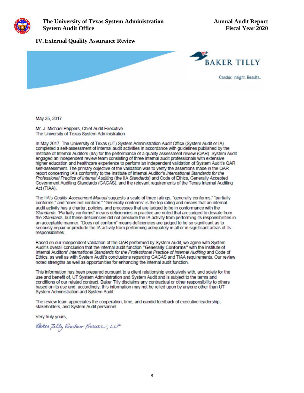

#### **IV.External Quality Assurance Review**



**May** 25, 2017

Mr. J. Michael Peppers, Chief Audit Executive The University of Texas System Administration

In May 2017, The University of Texas (UT) System Administration Audit Office (System Audit or IA) completed a self-assessment of internal audit activities in accordance with quidelines published by the Institute of Internal Auditors (IIA) for the performance of a quality assessment review (QAR). System Audit engaged an independent review team consisting of three internal audit professionals with extensive higher education and healthcare experience to perform an independent validation of System Audit's OAR self-assessment. The primary objective of the validation was to verify the assertions made in the QAR report concerning IA's conformity to the Institute of Internal Auditor's International Standards for the Professional Practice of lntemaf Auditing (the IIA standards) and Code of Ethics, Generally Accepted Government Auditing Standards (GAGAS), and the relevant requirements of the Texas Internal Auditing Act (TIAA).

The IIA's Quality Assessment Manual suggests a scale of three ratings, "generally conforms," "partially conforms," and "does not conform." "Generally conforms" is the top rating and means that an internal audit activity has a charter, policies, and processes that are judged to be in conformance with the Standards. "Partially conforms" means deficiencies in practice are noted that are judged to deviate from the Standards, but these deficiencies did not preclude the IA activity from performing its responsibilities in an acceptable manner. "Does not conform" means deficiencies are judged to be so significant as to seriously impair or preclude the IA activity from performing adequately in all or in significant areas of its responsibilities.

Based on our independent validation of **the** OAR pertormed by System Audit, we agree with System Audit's overall conclusion that the internal audit function "Generally Conforms" with the Institute of Internal Auditors' International Standards for the Professional Practice of Internal Auditing and Code of Ethics, as well as with System Audit's conclusions regarding GAGAS and TIAA requirements. our review noted strengths as well as opportunities for enhancing the internal audit function.

This information has been prepared pursuant to a dient relationship exclusively with, and solely for the use and benefit of, UT System Administration and System Audit and is subject to the terms and conditions of our related contract. Baker Tilly disclaims any contractual or other responsibility to others based on its use and, accordingly, this information may not be relied upon by anyone other than UT System Administration and System Audit.

The review team appreciates the cooperation, time, and candid feedback of executive leadership, stakeholders, and System Audit personnel.

Very truly yours.,

Caker Tilly Virchow Krause, LLP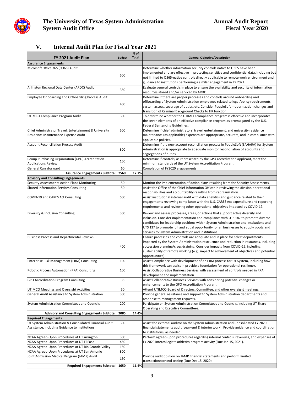

## **V. Internal Audit Plan for Fiscal Year 2021**

| FY 2021 Audit Plan                                      | <b>Budget</b> | % of<br><b>Total</b> | <b>General Objective/Description</b>                                                                                                                                        |
|---------------------------------------------------------|---------------|----------------------|-----------------------------------------------------------------------------------------------------------------------------------------------------------------------------|
| <b>Assurance Engagements</b>                            |               |                      |                                                                                                                                                                             |
| Microsoft Office 365 (O365) Audit                       |               |                      | Determine whether information security controls native to O365 have been                                                                                                    |
|                                                         |               |                      | implemented and are effective in protecting sensitive and confidential data, including but                                                                                  |
|                                                         | 500           |                      | not limited to O365-native controls directly applicable to remote work environment and                                                                                      |
|                                                         |               |                      | guidance to institutions performing a similar engagement in FY 2021.                                                                                                        |
| Arlington Regional Data Center (ARDC) Audit             |               |                      | Evaluate general controls in place to ensure the availability and security of information                                                                                   |
|                                                         | 350           |                      | resources stored and/or serviced by ARDC.                                                                                                                                   |
| Employee Onboarding and Offboarding Process Audit       |               |                      | Determine if there are proper processes and controls around onboarding and                                                                                                  |
|                                                         |               |                      | offboarding of System Administration employees related to legal/policy requirements,                                                                                        |
|                                                         | 400           |                      | system access, coverage of duties, etc. Consider PeopleSoft modernization changes and                                                                                       |
|                                                         |               |                      | transition of Criminal Background Checks to HR function.                                                                                                                    |
| UTIMCO Compliance Program Audit                         | 300           |                      | To determine whether the UTIMCO compliance program is effective and incorporates                                                                                            |
|                                                         |               |                      | the seven elements of an effective compliance program as promulgated by the U.S.                                                                                            |
|                                                         |               |                      | Federal Sentencing Guidelines.                                                                                                                                              |
| Chief Administrator Travel, Entertainment & University  | 500           |                      | Determine if chief administrators' travel, entertainment, and university residence                                                                                          |
| Residence Maintenance Expense Audit                     |               |                      | maintenance (as applicable) expenses are appropriate, accurate, and in compliance with                                                                                      |
|                                                         |               |                      | applicable policies.                                                                                                                                                        |
| <b>Account Reconciliation Process Audit</b>             |               |                      | Determine if the new account reconciliation process in PeopleSoft (SAHARA) for System                                                                                       |
|                                                         | 300           |                      | Administration is appropriate to adequate monitor reconciliation of accounts and                                                                                            |
|                                                         |               |                      | segregations of duties.                                                                                                                                                     |
| Group Purchasing Organization (GPO) Accreditation       | 150           |                      | Determine if controls, as represented by the GPO accreditation applicant, meet the                                                                                          |
| <b>Applications Review</b>                              |               |                      | minimum standards of the UT System Accreditation Program.                                                                                                                   |
| General Carryforward                                    | 60            |                      | Completion of FY2020 engagements.                                                                                                                                           |
| <b>Assurance Engagements Subtotal</b>                   | 2560          | 17.7%                |                                                                                                                                                                             |
| <b>Advisory and Consulting Engagements</b>              |               |                      |                                                                                                                                                                             |
| Security Assessments Action Plans Monitoring            | 50            |                      | Monitor the implementation of action plans resulting from the Security Assessments.                                                                                         |
| <b>Shared Information Services Consulting</b>           | 50            |                      | Assist the Office of the Chief Information Officer in reviewing the division operational                                                                                    |
|                                                         |               |                      | responsibilities and accountability resulting from reorganization.                                                                                                          |
| COVID-19 and CARES Act Consulting                       | 500           |                      | Assist institutional internal audit with data analytics and guidance related to their<br>engagements reviewing compliance with the U.S. CARES Act expenditure and reporting |
|                                                         |               |                      | requirements and reviewing other operational objectives impacted by COVID-19.                                                                                               |
|                                                         |               |                      |                                                                                                                                                                             |
| Diversity & Inclusion Consulting                        | 300           |                      | Review and assess processes, areas, or actions that support active diversity and                                                                                            |
|                                                         |               |                      | inclusion. Consider implementation and compliance with UTS 187 to promote diverse                                                                                           |
|                                                         |               |                      | candidates for leadership positions within System Administration and institutions and                                                                                       |
|                                                         |               |                      | UTS 137 to promote full and equal opportunity for all businesses to supply goods and                                                                                        |
|                                                         |               |                      | services to System Administration and institutions.                                                                                                                         |
| <b>Business Process and Departmental Reviews</b>        |               |                      | Ensure processes and controls are adequate and in place for select departments<br>impacted by the System Administration restructure and reduction in resources, including   |
|                                                         | 400           |                      | succession planning/cross-training. Consider impacts from COVID-19, including                                                                                               |
|                                                         |               |                      | sustainability of remote working (e.g., impact to achievement of objectives and potential                                                                                   |
|                                                         |               |                      | opportunities).                                                                                                                                                             |
| Enterprise Risk Management (ERM) Consulting             | 100           |                      | Assist Compliance with development of an ERM process for UT System, including how                                                                                           |
|                                                         |               |                      | this framework can assist in provide a foundation for operational resiliency.                                                                                               |
| Robotic Process Automation (RPA) Consulting             | 100           |                      | Assist Collaborative Business Services with assessment of controls needed in RPA                                                                                            |
|                                                         |               |                      | development and implementation.                                                                                                                                             |
| GPO Accreditation Program Consulting                    | 35            |                      | Assist Collaborative Business Services with considering potential changes or                                                                                                |
|                                                         |               |                      | enhancements to the GPO Accreditation Program.                                                                                                                              |
| UTIMCO Meetings and Oversight Activities                | 50            |                      | Attend UTIMCO Board of Directors, Committee, and other oversight meetings.                                                                                                  |
| General Audit Assistance to System Administration       | 300           |                      | Provide general assistance and support to System Administration departments and                                                                                             |
|                                                         |               |                      | response to management requests.                                                                                                                                            |
| System Administration Committees and Councils           | 200           |                      | Participate on System Administration Committees and Councils, including UT Share                                                                                            |
|                                                         |               |                      | Operating and Executive Committees.                                                                                                                                         |
| <b>Advisory and Consulting Engagements Subtotal</b>     | 2085          | 14.4%                |                                                                                                                                                                             |
| <b>Required Engagements</b>                             |               |                      |                                                                                                                                                                             |
| UT System Administration & Consolidated Financial Audit | 300           |                      | Assist the external auditor on the System Administration and Consolidated FY 2020                                                                                           |
| Assistance, including Guidance to Institutions          |               |                      | financial statements audit (year-end & interim work). Provide guidance and coordination                                                                                     |
|                                                         |               |                      | to institutions, as needed.                                                                                                                                                 |
| NCAA Agreed-Upon Procedures at UT Arlington             | 300           |                      | Perform agreed-upon procedures regarding internal controls, revenues, and expenses of                                                                                       |
| NCAA Agreed-Upon Procedures at UT El Paso               | 450           |                      | FY 2020 intercollegiate athletics program activity (Due Jan 15, 2021).                                                                                                      |
| NCAA Agreed-Upon Procedures at UT Rio Grande Valley     | 150           |                      |                                                                                                                                                                             |
| NCAA Agreed-Upon Procedures at UT San Antonio           | 300           |                      | Provide audit opinion on JAMP financial statements and perform limited                                                                                                      |
| Joint Admission Medical Program (JAMP) Audit            | 150           |                      | transaction/control testing (Due Dec 15, 2020).                                                                                                                             |
| <b>Required Engagements Subtotal</b>                    | 1650          | 11.4%                |                                                                                                                                                                             |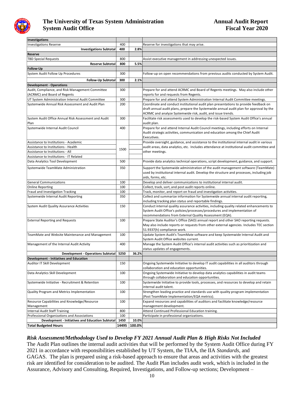

| Investigations                                          |       |        |                                                                                            |
|---------------------------------------------------------|-------|--------|--------------------------------------------------------------------------------------------|
| <b>Investigations Reserve</b>                           | 400   |        | Reserve for investigations that may arise.                                                 |
| <b>Investigations Subtotal</b>                          | 400   | 2.8%   |                                                                                            |
| Reserve                                                 |       |        |                                                                                            |
| <b>TBD Special Requests</b>                             | 800   |        | Assist executive management in addressing unexpected issues.                               |
| <b>Reserve Subtotal</b>                                 | 800   | 5.5%   |                                                                                            |
| <b>Follow-Up</b>                                        |       |        |                                                                                            |
| System Audit Follow Up Procedures                       | 300   |        | Follow-up on open recommendations from previous audits conducted by System Audit.          |
|                                                         |       |        |                                                                                            |
| <b>Follow-Up Subtotal</b>                               | 300   | 2.1%   |                                                                                            |
| <b>Development - Operations</b>                         |       |        |                                                                                            |
| Audit, Compliance, and Risk Management Committee        | 300   |        | Prepare for and attend ACRMC and Board of Regents meetings. May also include other         |
| (ACRMC) and Board of Regents                            |       |        | reports for and requests from Regents.                                                     |
| UT System Administration Internal Audit Committee       | 300   |        | Prepare for and attend System Administration Internal Audit Committee meetings.            |
| Systemwide Annual Risk Assessment and Audit Plan        | 200   |        | Coordinate and conduct institutional audit plan presentations to provide feedback on       |
|                                                         |       |        | draft annual audit plans, prepare the Systemwide annual audit plan for approval by the     |
|                                                         |       |        | ACRMC and analyze Systemwide risk, audit, and issue trends.                                |
| System Audit Office Annual Risk Assessment and Audit    | 300   |        | Facilitate risk assessments used to develop the risk-based System Audit Office's annual    |
| Plan                                                    |       |        | audit plan.                                                                                |
| Systemwide Internal Audit Council                       | 400   |        | Prepare for and attend Internal Audit Council meetings, including efforts on Internal      |
|                                                         |       |        | Audit strategic activities, communication and education among the Chief Audit              |
|                                                         |       |        | Executives.                                                                                |
| Assistance to Institutions - Academic                   |       |        | Provide oversight, guidance, and assistance to the institutional internal audit in various |
| Assistance to Institutions - Health                     |       |        | audit areas, data analytics, etc. Includes attendance at institutional audit committee and |
| Assistance to Institutions - All                        | 1500  |        | other meetings.                                                                            |
| Assistance to Institutions - IT Related                 |       |        |                                                                                            |
| Data Analytics Tool Development                         | 500   |        | Provide data analytics technical operations, script development, guidance, and support.    |
|                                                         |       |        |                                                                                            |
| Systemwide TeamMate Administration                      | 350   |        | Support the Systemwide administration of the audit management software (TeamMate)          |
|                                                         |       |        | used by institutional internal audit. Develop the structure and processes, including job   |
|                                                         |       |        | aids, forms, etc.                                                                          |
| <b>General Communications</b>                           | 100   |        | Develop and deliver communications to institutional internal audit.                        |
| <b>Online Reporting</b>                                 | 100   |        | Collect, track, sort, and post audit reports online.                                       |
| Fraud and Investigation Tracking                        | 100   |        | Track, monitor, and report on fraud and investigation activities.                          |
| Systemwide Internal Audit Reporting                     | 350   |        | Collect and summarize information for Systemwide annual internal audit reporting,          |
|                                                         |       |        | including tracking plan status and reportable findings.                                    |
| System Audit Quality Assurance Activities               | 150   |        | Conduct internal quality assurance activities, including quality related enhancements to   |
|                                                         |       |        | System Audit Office's policies/processes/procedures and implementation of                  |
|                                                         |       |        | recommendations from External Quality Assessment (EQA).                                    |
| <b>External Reporting and Requests</b>                  | 100   |        | Prepare State Auditor's Office (SAO) annual report and other SAO reporting requests.       |
|                                                         |       |        | May also include reports or requests from other external agencies. Includes TEC section    |
|                                                         |       |        | 51.9337(h) compliance work.                                                                |
| TeamMate and Website Maintenance and Management         | 100   |        | Update System Audit's TeamMate software and keep Systemwide Internal Audit and             |
|                                                         |       |        | System Audit Office websites current.                                                      |
| Management of the Internal Audit Activity               | 400   |        | Manage the System Audit Office's internal audit activities such as prioritization and      |
|                                                         |       |        | status updates of engagements.                                                             |
| Development - Operations Subtotal                       | 5250  | 36.2%  |                                                                                            |
| <b>Development - Initiatives and Education</b>          |       |        |                                                                                            |
| Auditor IT Skill Development                            | 150   |        | Ongoing Systemwide Initiative to develop IT audit capabilities in all auditors through     |
|                                                         |       |        | collaboration and education opportunities.                                                 |
| Data Analytics Skill Development                        | 100   |        | Ongoing Systemwide Initiative to develop data analytics capabilities in audit teams        |
|                                                         |       |        |                                                                                            |
|                                                         |       |        | through collaboration and education opportunities.                                         |
| Systemwide Initiative - Recruitment & Retention         | 100   |        | Systemwide Initiative to provide tools, processes, and resources to develop and retain     |
|                                                         |       |        | internal audit talent.                                                                     |
| Quality Program and Metrics Implementation              | 100   |        | Strengthen leading practice and standards use with quality program implementation          |
|                                                         |       |        | (Post TeamMate Implementation/EQA metrics).                                                |
| Resource Capabilities and Knowledge/Resource            | 100   |        | Expand resources and capabilities of auditors and facilitate knowledge/resource            |
| Management                                              |       |        | management development.                                                                    |
| <b>Internal Audit Staff Training</b>                    | 800   |        | Attend Continued Professional Education training.                                          |
| Professional Organizations and Associations             | 100   |        | Participate in professional organizations.                                                 |
| <b>Development - Initiatives and Education Subtotal</b> | 1450  | 10.0%  |                                                                                            |
| <b>Total Budgeted Hours</b>                             | 14495 | 100.0% |                                                                                            |

#### *Risk Assessment/Methodology Used to Develop FY 2021 Annual Audit Plan & High Risks Not Included*

The Audit Plan outlines the internal audit activities that will be performed by the System Audit Office during FY 2021 in accordance with responsibilities established by UT System, the TIAA, the IIA *Standards*, and GAGAS. The plan is prepared using a risk-based approach to ensure that areas and activities with the greatest risk are identified for consideration to be audited. The Audit Plan includes audit work, which is included in the Assurance, Advisory and Consulting, Required, Investigations, and Follow-up sections; Development –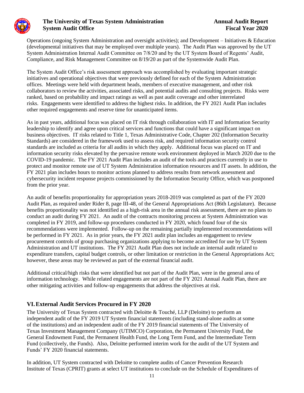

Operations (ongoing System Administration and oversight activities); and Development – Initiatives & Education Operations (ongoing System Administration and oversight activities); and Development – Initiatives & Education (developmental initiatives that may be employed over multiple years). The Audit Plan was approved by the UT System Administration Internal Audit Committee on 7/8/20 and by the UT System Board of Regents' Audit, Compliance, and Risk Management Committee on 8/19/20 as part of the Systemwide Audit Plan.

The System Audit Office's risk assessment approach was accomplished by evaluating important strategic initiatives and operational objectives that were previously defined for each of the System Administration offices. Meetings were held with department heads, members of executive management, and other risk collaborators to review the activities, associated risks, and potential audits and consulting projects. Risks were ranked, based on probability and impact ratings as well as past audit coverage and other interrelated risks. Engagements were identified to address the highest risks. In addition, the FY 2021 Audit Plan includes other required engagements and reserve time for unanticipated items.

As in past years, additional focus was placed on IT risk through collaboration with IT and Information Security leadership to identify and agree upon critical services and functions that could have a significant impact on business objectives. IT risks related to Title 1, Texas Administrative Code, Chapter 202 (Information Security Standards) are considered in the framework used to assess risk, and required information security control standards are included as criteria for all audits in which they apply. Additional focus was placed on IT and information security risks elevated by the pervasive remote work environment deployed in March 2020 due to the COVID-19 pandemic. The FY 2021 Audit Plan includes an audit of the tools and practices currently in use to protect and monitor remote use of UT System Administration information resources and IT assets. In addition, the FY 2021 plan includes hours to monitor actions planned to address results from network assessment and cybersecurity incident response projects commissioned by the Information Security Office, which was postponed from the prior year.

An audit of benefits proportionality for appropriation years 2018-2019 was completed as part of the FY 2020 Audit Plan, as required under Rider 8, page III-48, of the General Appropriations Act (86th Legislature). Because benefits proportionality was not identified as a high-risk area in the annual risk assessment, there are no plans to conduct an audit during FY 2021. An audit of the contracts monitoring process at System Administration was completed in FY 2019, and follow-up procedures conducted in FY 2020, which found four of the six recommendations were implemented. Follow-up on the remaining partially implemented recommendations will be performed in FY 2021. As in prior years, the FY 2021 audit plan includes an engagement to review procurement controls of group purchasing organizations applying to become accredited for use by UT System Administration and UT institutions. The FY 2021 Audit Plan does not include an internal audit related to expenditure transfers, capital budget controls, or other limitation or restriction in the General Appropriations Act; however, these areas may be reviewed as part of the external financial audit.

Additional critical/high risks that were identified but not part of the Audit Plan, were in the general area of information technology. While related engagements are not part of the FY 2021 Annual Audit Plan, there are other mitigating activities and follow-up engagements that address the objectives at risk.

#### **VI.External Audit Services Procured in FY 2020**

The University of Texas System contracted with Deloitte & Touché, LLP (Deloitte) to perform an independent audit of the FY 2019 UT System financial statements (including stand-alone audits at some of the institutions) and an independent audit of the FY 2019 financial statements of The University of Texas Investment Management Company (UTIMCO) Corporation, the Permanent University Fund, the General Endowment Fund, the Permanent Health Fund, the Long Term Fund, and the Intermediate Term Fund (collectively, the Funds). Also, Deloitte performed interim work for the audit of the UT System and Funds' FY 2020 financial statements.

In addition, UT System contracted with Deloitte to complete audits of Cancer Prevention Research Institute of Texas (CPRIT) grants at select UT institutions to conclude on the Schedule of Expenditures of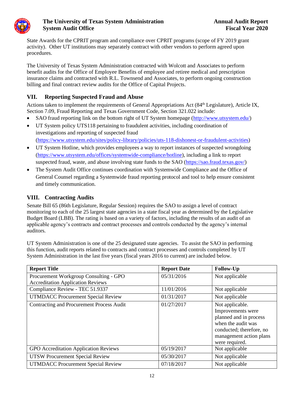

State Awards for the CPRIT program and compliance over CPRIT programs (scope of FY 2019 grant activity). Other UT institutions may separately contract with other vendors to perform agreed upon procedures.

The University of Texas System Administration contracted with Wolcott and Associates to perform benefit audits for the Office of Employee Benefits of employee and retiree medical and prescription insurance claims and contracted with R.L. Townsend and Associates, to perform ongoing construction billing and final contract review audits for the Office of Capital Projects.

## **VII. Reporting Suspected Fraud and Abuse**

Actions taken to implement the requirements of General Appropriations Act (84<sup>th</sup> Legislature), Article IX, Section 7.09, Fraud Reporting and Texas Government Code, Section 321.022 include:

- SAO fraud reporting link on the bottom right of UT System homepage [\(http://www.utsystem.edu/\)](http://www.utsystem.edu/)
- UT System policy UTS118 pertaining to fraudulent activities, including coordination of investigations and reporting of suspected fraud [\(https://www.utsystem.edu/sites/policy-library/policies/uts-118-dishonest-or-fraudulent-activities\)](https://www.utsystem.edu/sites/policy-library/policies/uts-118-dishonest-or-fraudulent-activities)
- UT System Hotline, which provides employees a way to report instances of suspected wrongdoing [\(https://www.utsystem.edu/offices/systemwide-compliance/hotline\)](https://www.utsystem.edu/offices/systemwide-compliance/hotline), including a link to report suspected fraud, waste, and abuse involving state funds to the SAO [\(https://sao.fraud.texas.gov/\)](https://sao.fraud.texas.gov/)
- The System Audit Office continues coordination with Systemwide Compliance and the Office of General Counsel regarding a Systemwide fraud reporting protocol and tool to help ensure consistent and timely communication.

#### **VIII. Contracting Audits**

Senate Bill 65 (86th Legislature, Regular Session) requires the SAO to assign a level of contract monitoring to each of the 25 largest state agencies in a state fiscal year as determined by the Legislative Budget Board (LBB). The rating is based on a variety of factors, including the results of an audit of an applicable agency's contracts and contract processes and controls conducted by the agency's internal auditors.

UT System Administration is one of the 25 designated state agencies. To assist the SAO in performing this function, audit reports related to contracts and contract processes and controls completed by UT System Administration in the last five years (fiscal years 2016 to current) are included below.

| <b>Report Title</b>                              | <b>Report Date</b> | <b>Follow-Up</b>                                                                                                                                              |
|--------------------------------------------------|--------------------|---------------------------------------------------------------------------------------------------------------------------------------------------------------|
| Procurement Workgroup Consulting - GPO           | 05/31/2016         | Not applicable                                                                                                                                                |
| <b>Accreditation Application Reviews</b>         |                    |                                                                                                                                                               |
| Compliance Review - TEC 51.9337                  | 11/01/2016         | Not applicable                                                                                                                                                |
| <b>UTMDACC Procurement Special Review</b>        | 01/31/2017         | Not applicable                                                                                                                                                |
| <b>Contracting and Procurement Process Audit</b> | 01/27/2017         | Not applicable.<br>Improvements were<br>planned and in process<br>when the audit was<br>conducted; therefore, no<br>management action plans<br>were required. |
| GPO Accreditation Application Reviews            | 05/19/2017         | Not applicable                                                                                                                                                |
| <b>UTSW Procurement Special Review</b>           | 05/30/2017         | Not applicable                                                                                                                                                |
| <b>UTMDACC Procurement Special Review</b>        | 07/18/2017         | Not applicable                                                                                                                                                |